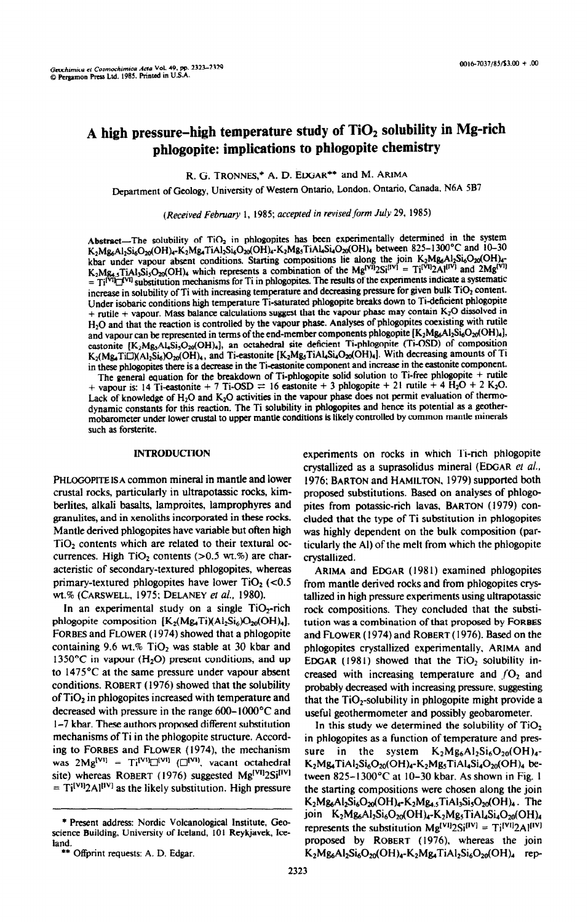# **A high pressure-high temperature study of Ti02 solubility in Mg-rich phiogopite: implications to phlogopite chemistry**

R. G. TRONNES,\* A. D. EDGAR\*\* and M. ARIMA

Department of Geology, University of Western Ontario, London. Ontario, Canada. N6A 5B7

*(Received February* 1, 1985; *accepted in revised form July 29, 1985)* 

Abstract-The solubility of  $TiO<sub>2</sub>$  in phlogopites has been experimentally determined in the system  $K_2Mg_6A_1Si_6O_{20}(OH)_4-K_2Mg_4TiA1_2Si_6O_{20}(OH)_4-K_2Mg_5TiA1_4Si_4O_{20}(OH)_4$  between 825-1300°C and 10-30 kbar under vapour absent conditions. Starting compositions lie along the join  $K_2^{\text{M}}\text{M}_6\text{Al}_2\text{M}_6\text{O}$ ,  $\overline{\text{M}}$  $K_2Mg_4$ , TiAl<sub>3</sub>Si<sub>3</sub>O<sub>20</sub>(OH), which represents a combination of the Mg<sup>rou</sup>2Si<sup>627</sup> = Ti<sup>22</sup>Ai<sup>1</sup> and 2Mg<sup>2</sup>  $= T_i^{[V^i]}$  substitution mechanisms for Ti in phlogopites. The results of the experiments indicate a systematic increase in solubility of Ti with increasing temperature and decreasing pressure for given bulk TiO<sub>2</sub> content. Under isobaric conditions high temperature Ti-saturated phlogopite breaks down to Ti-deficient phlogopite + rutile + vapour. Mass balance calculations suggest that the vapour phase may contain K20 dissolved in H<sub>2</sub>O and that the reaction is controlled by the vapour phase. Analyses of phlogopites coexisting with rutile and vapour can be represented in terms of the end-member components phlogopite  $[K_2Mg_6Al_2Si_6O_{20}(OH)_4]$ , eastonite [K<sub>2</sub>Mg<sub>3</sub>Al<sub>4</sub>Si<sub>3</sub>O<sub>20</sub>(OH)<sub>4</sub>], an octahedral site deficient Ti-phlogopite (Ti-OSD) of composition  $K_2(Mg_4TiCl)(A_2Si_6)O_{20}(OH)_{4}$ , and Ti-eastonite  $[K_2Mg_5TiAl_4Si_4O_{20}(OH)_{4}]$ . With decreasing amounts of Ti in these phlogopites there is a decrease in the Ti-eastonite component and increase in the eastonite component.

The general equation for the breakdown of Ti-phlogopite solid solution to Ti-free phlogopite + rutile + vapour is: 14 Ti-eastonite + 7 Ti-OSD = 16 eastonite + 3 phlogopite + 21 rutile + 4  $\text{H}_2\text{O}$  + 2 K<sub>2</sub>O. Lack of knowledge of H<sub>2</sub>O and K<sub>2</sub>O activities in the vapour phase does not permit evaluation of thermodynamic constants for this reaction. The Ti solubility in phlogopites and hence its potential as a geothermobarometer under lower crustal to upper mantle conditions is likely controlled by common mantle minerals such as forsterite.

### **INTRODUCTION**

PHLOGOPITE IS A common mineral in mantle and lower crustal rocks, particularly in ultrapotassic rocks, kimberlites, alkali basalts, lamproites, lamprophyres and granulites, and in xenoliths incorpomted in these rocks. Mantle derived phlogopites have variable but often high  $TiO<sub>2</sub>$  contents which are related to their textural occurrences. High  $TiO<sub>2</sub>$  contents ( $>0.5$  wt.%) are characteristic of secondary-textured phlogopites, whereas primary-textured phlogopites have lower  $TiO<sub>2</sub>$  (<0.5) wt.% (CARSWELL, 1975; DELANEY et al., 1980).

In an experimental study on a single  $TiO<sub>2</sub>$ -rich phlogopite composition  $[K_2(Mg_4Ti)(Al_2Si_6)O_{20}(OH)_4]$ , FORBES and FLOWER (1974) showed that a phlogopite containing 9.6 wt.%  $TiO<sub>2</sub>$  was stable at 30 kbar and 1350°C in vapour  $(H_2O)$  present conditions, and up to 1475'C at the same pressure under vapour absent conditions. ROBERT (1976) showed that the solubility of TiOz in phlogopites increased with temperature and decreased with pressure in the range 600-1000°C and i-7 kbar. These authors proposed different substitution mechanisms of Ti in the phlogopite structure. According to FORBES and FLOWER (1974), the mechanism was  $2Mg^{[V1]} = Ti^{[V1]} \square^{[V1]}$  ( $\square^{[V1]}$ , vacant octahedral site) whereas ROBERT (1976) suggested Mg<sup>[VI]</sup>2Si<sup>[IV]</sup>  $= Ti^{[V1]}2Al^{[IV]}$  as the likely substitution. High pressure experiments on rocks in which Ti-rich phlogopite crystallized as a suprasolidus mineral (EDGAR et al., 1976; BARTON and HAMILTON, 1979) supported both proposed substitutions. Based on analyses of phlogopites from potassic-rich lavas. BARTON (1979) concluded that the type of Ti substitution in phlogopites was highly dependent on the bulk composition (particularly the Al) of the melt from which the phlogopite crystallized.

ARIMA and EDGAR (1981) examined phlogopites from mantle derived rocks and from phiogopites crystallized in high pressure experiments using ultrapotassic rock compositions. They concluded that the substitution was a combination of that proposed by FORBES and FLOWER ( 1974) and ROBERT ( 1976). Based on the phlogopites crystallized experimentally, ARIMA and EDGAR (1981) showed that the  $TiO<sub>2</sub>$  solubility increased with increasing temperature and  $fO<sub>2</sub>$  and probably decreased with increasing pressure. suggesting that the  $TiO<sub>2</sub>$ -solubility in phlogopite might provide a useful geothermometer and possibly geobarometer.

In this study we determined the solubility of  $TiO<sub>2</sub>$ in phlogopites as a function of temperature and pressure in the system  $K_2Mg_6Al_2Si_6O_{20}(OH)_{4}$ - $K_2Mg_4TiAl_2Si_6O_{20}(OH)_4-K_2Mg_5TiAl_4Si_4O_{20}(OH)_4$  between 825-13OO"C at IO-30 kbar. As shown in Fig. 1 the starting compositions were chosen along the join  $K_2Mg_6Al_2Si_6O_{20}(OH)_4-K_2Mg_{4.5}TiAl_3Si_5O_{20}(OH)_4$ . The join  $K_2Mg_6Al_2Si_6O_{20}(OH)_4-K_2Mg_5TiAl_4Si_4O_{20}(OH)_4$ represents the substitution  $Mg^{[VI]}2Si^{[IV]} = Ti^{[VI]}2Al^{[IV]}$ proposed by ROBERT (1976), whereas the join  $K_2Mg_6Al_2Si_6O_{20}(OH)_4-K_2Mg_4TiAl_2Si_6O_{20}(OH)_4$  rep-

<sup>\*</sup> Present address: Nordic Volcanological Institute, Geoscience Building, University of Iceland, 101 Reykjavek, Iceland.

<sup>\*\*</sup> Offprint requests: A. D. Edgar.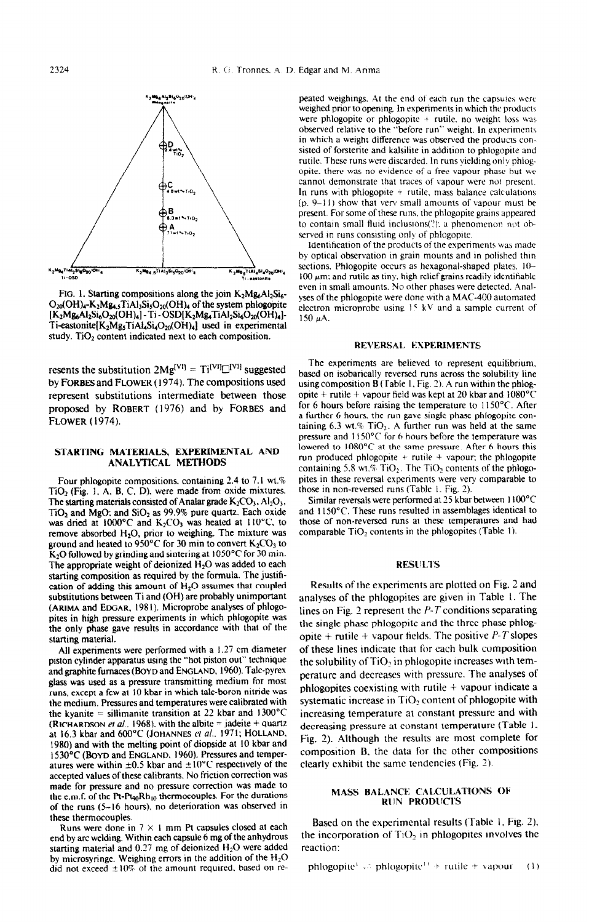

FIG. 1. Starting compositions along the join K<sub>2</sub>Mg<sub>6</sub>Al<sub>2</sub>Si<sub>6</sub>-O<sub>20</sub>(OH)<sub>4</sub>-K<sub>2</sub>Mg<sub>4.5</sub>TiAl<sub>3</sub>Si<sub>5</sub>O<sub>20</sub>(OH)<sub>4</sub> of the system phlogopite  $[K<sub>2</sub>Mg<sub>6</sub>Al<sub>2</sub>Si<sub>6</sub>O<sub>20</sub>(OH)<sub>4</sub>] - Ti - OSD[K<sub>2</sub>Mg<sub>4</sub>TiAl<sub>2</sub>Si<sub>6</sub>O<sub>20</sub>(OH)<sub>4</sub>] -$ Ti-eastonite[K<sub>2</sub>Mg<sub>5</sub>TiAl<sub>4</sub>Si<sub>4</sub>O<sub>20</sub>(OH)<sub>4</sub>] used in experimental study. TiO<sub>2</sub> content indicated next to each composition.

resents the substitution  $2Mg^{[VI]} = Ti^{[VI]} \Box^{[VI]}$  suggested **proposed by ROBERT** (1976) and by **FORBES** and **FLOWER** (1974).

#### STARTING MATERIALS, EXPERIMENTAL **AND**  ANALYTICAL METHODS

**Four phlogopite compositions, containing 2.4 to 7. I wt.%**  TiO<sub>2</sub> (Fig. 1, A, B, C, D), were made from oxide mixtures. The starting materials consisted of Analar grade  $K_2CO_3$ ,  $Al_2O_3$ , **TiO, and MeO: and SiO, as 99.9% uure quartz. Each oxide**  was dried at 1000°C and K<sub>2</sub>CO<sub>3</sub> was heated at 110°C, to remove absorbed H<sub>2</sub>O, prior to weighing. The mixture was ground and heated to 950°C for 30 min to convert K<sub>2</sub>CO<sub>3</sub> to K<sub>2</sub>O followed by grinding and sintering at 1050°C for 30 min. The appropriate weight of deionized H<sub>2</sub>O was added to each **starting composition as required by the formula. The justifi**cation of adding this amount of H<sub>2</sub>O assumes that coupled **substitutions between Ti and (OH) are probably unimportant (ARIMA and EDGAR. I98 I). Microprobe analyses of phlogopites in high pressure experimenfs in which phlogopite was the only phase gave results in accordance with that of the starting material.** 

**All experiments were performed with a** I.27 **cm diameter piston cylinder apparatus using the "hot piston out" technique**  and graphite furnaces (BOYD and ENGLAND, 1960). Talc-pyrex **glass was used as a pressure transmitting medium for most runs, except a few at 10 kbar in which talc-boron nitride was the medium. Pressures and temperatures were calibrated with**  the kvanite = sillimanite transition at 22 kbar and  $1300^{\circ}$ C **(RICHARDSON et al., 1968), with the albite = jadeite + quartz** at 16.3 kbar and 600°C (JOHANNES et al., 1971; HOLLAND, **1530°C (BOYD and ENGLAND. 1960). Pressures and temper-** composition B. the data for the other conditional atures were within  $\pm 0.5$  kbar and  $\pm 10^{\circ}$ C respectively of the clearly exhibit the same tendencies (Fig. 2). atures were within  $\pm 0.5$  kbar and  $\pm 10^{\circ}$ C respectively of the **accepted values of these ealibrants. No friction correction was made for pressure and no pressure correction was made to**  the e.m.f. of the Pt-Pt<sub>90</sub>Rh<sub>10</sub> thermocouples. For the durations **of the runs (S-16 hours), no deterioration was observed in these thermocouples.** 

**end by arc welding. Within each capsule 6 mg of the anhydrous the incorporation <b>***philosopheration*: *philosopheration*: starting material and  $0.27$  mg of deionized  $H_2O$  were added **by microsyringe. Weighing errors in the addition of the Hz0**  did not exceed  $\pm 10\%$  of the amount required, based on re-<br>phlogopite<sup>1</sup>  $\rightleftarrows$  phlogopite<sup>1</sup> + rutile + vapour (1)

peated weighings. At the end of each run the capsules were **weighed prior to opening. In experiments in which the products were phlogopite or phlogopite + rutile. no weight loss was observed relative to the "before run" weight. In experiments in which a weight difference was observed the products con. sisted of forsterite and kalsilite in addition to phlogoplte and rutile.** These runs were discarded. In runs vielding only phlogopite, there was no evidence of a free vapour phase but we cannot demonstrate that traces of vapour were not present. In runs with phlogopite + rutile, mass balance calculations  $(p, 9-11)$  show that very small amounts of vapour must be present. For some of these runs, the phlogopite grains appeared to contain small fluid inclusions(?): a phenomenon not observed in runs consisting only of phlogopite.

**Identification of the products of the experiments was made bv ootical observation in arain mounts and in oolished thm K2<sup>M9</sup>5<sup>TIAI</sup>4<sup>5140</sup>20<sup>10H</sup><sub>4</sub> Sections. Phlogopite occurs as hexagonal-shaped plates. IO-** $100 \mu$ m; and rutile as tiny, high relief grains readily identifiable even in small amounts. No other phases were detected. Anal**yses of the phlogopite were done with a MAC-400 automated electron microprobe using 15 kV and a sample current of**  $150 \mu A$ .

#### **REVERSAL EXPERIMENTS**

**The experiments are believed to represent equilibrium.**  based on isobarically reversed runs across the solubility line **by FORBES and FLOWER (1974). The compositions used using composition B (Table 1, Fig. 2). A run within the phlog-<br>
<b>by** represent substitutions intermediate between those opite + rutile + vapour field was kept at 20 kbar **represent substitutions intermediate between those opite + rutile + vapour field was kept at 20 kbar and 1080°C**<br>**proposed** by **ROBERT** (1976) and by **FORBES** and for 6 hours before raising the temperature to 1150°C. Afte a further 6 hours, the run gave single phase phlogopite containing 6.3 wt.% TiO<sub>2</sub>. A further run was held at the same **pressure and 1150°C for 6 hours before the temperature was pites in these reversal experiments were very comparable to**  lowered to 1080°C at the same pressure. After 6 hours this **those in non-reversed runs (Table 1. Fig. 2).**  run produced phlogopite + rutile + vapour: the phlogopite containing 5.8 wt.% TiO<sub>2</sub>. The TiO<sub>2</sub> contents of the phlogo-

> Similar reversals were performed at 25 kbar between 1100°C and 1150°C. These runs resulted in assemblages identical to **those of non-reversed runs at these temperatures and had**  comparable TiO<sub>2</sub> contents in the phlogopites (Table 1).

#### **RESULTS**

Results of the experiments are plotted on Fig. 2 and **analyses of the phlogopites are given in Table I. The**  lines on Fig. 2 represent the  $P - T$  conditions separating **the single phase phlogopitc and the three phase phlogopite + rutile + vapour helds. The positive P-7'slopes**  of these **lines Indicate that for each bulk composition the solubility ofTi@ in phlogopite increases with temperature and decreases with pressure. The analyses of phlogopites coexisting with rutile + vapour indicate a** systematic increase in TiO<sub>2</sub> content of phlogopite with **increasing temoerature at constant pressure and with**  decreasing pressure at constant temperature (Table 1, Fig. 2). Although the results are most complete for 1980) and with the melting point of diopside at 10 kbar and **Fig. 3). Although the results are most complete for**  $1530^{\circ}$ C (Boyp and ENGLAND, 1960). Pressures and temper-<br>composition B, the data for the other compositio

#### **MASS BALANCE CALCULATIONS OF RUN PRODUCTS**

Exercified the in 7  $\times$  1 mm Pt capsules closed at each **Based on the experimental results (Table 1, Fig. 2)**, <br>Runs were done in 7  $\times$  1 mm Pt capsules closed at each **be incorporation** of TiO<sub>2</sub> in phlogopites involve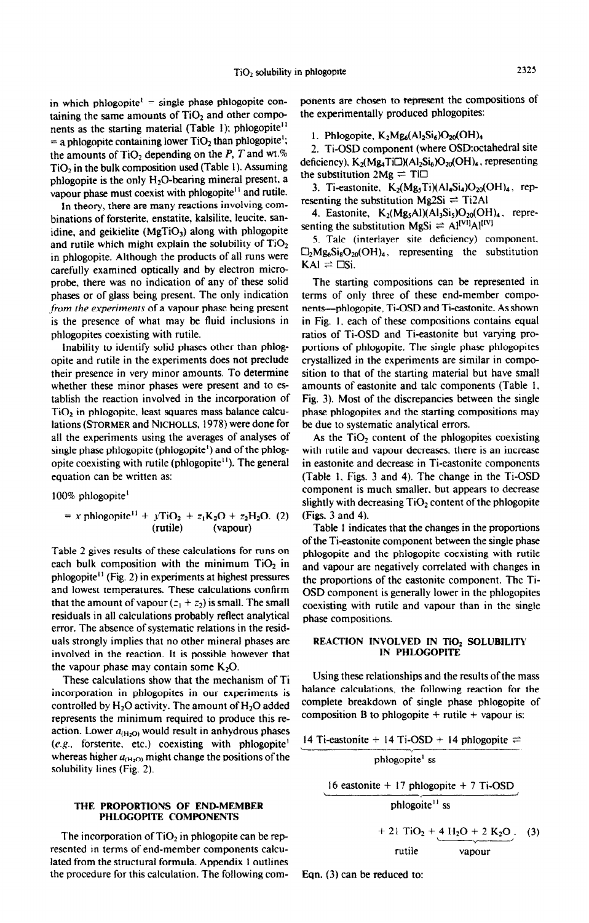in which phlogopite<sup> $1$ </sup> = single phase phlogopite containing the same amounts of  $TiO<sub>2</sub>$  and other components as the starting material (Table 1); phlogopite<sup>11</sup> = a phlogopite containing lower  $TiO<sub>2</sub>$  than phlogopite<sup>1</sup>; the amounts of  $TiO<sub>2</sub>$  depending on the P, T and wt.%  $TiO<sub>2</sub>$  in the bulk composition used (Table 1). Assuming phlogopite is the only H<sub>2</sub>O-bearing mineral present, a vapour phase must coexist with phlogopite<sup>11</sup> and rutile.

In theory, there are many reactions involving combinations of forsterite. enstatite, kalsilite, leucite. sanidine, and geikielite  $(MgTiO<sub>3</sub>)$  along with phlogopite and rutile which might explain the solubility of  $TiO<sub>2</sub>$ in phlogopite. Although the products of all runs were carefully examined optically and by electron microprobe, there was no indication of any of these sohd phases or of glass being present. The only indication from the experiments of a vapour phase being present is the presence of what may be fluid inclusions in phlogopites coexisting with rutile.

Inability to identify solid phases other than phlogopite and rutile in the experiments does not preclude their presence in very minor amounts, To determine whether these minor phases were present and to establish the reaction involved in the incorporation of TiO<sub>2</sub> in phlogopite, least squares mass balance calculations **(STORMER** and Nicholls, 1978) were done for all the experiments using the averages of analyses of single phase phlogopite (phlogopite') and of the phiogopite coexisting with rutile (phlogopite $<sup>11</sup>$ ). The general</sup> equation can be written as:

100% phlogopite'

$$
= x \text{ phlogopite}^{11} + y \text{TiO}_2 + z_1 \text{K}_2 \text{O} + z_2 \text{H}_2 \text{O}. (2)
$$
  
(**rutile**) (vapour)

Table 2 gives results of these calculations for runs on each bulk composition with the minimum  $TiO<sub>2</sub>$  in phlogopite<sup>11</sup> (Fig. 2) in experiments at highest pressures and lowest temperatures. These calculations confirm that the amount of vapour  $(z_1 + z_2)$  is small. The small residuals in all calculations probably reflect analytical error. The absence of systematic relations in the residuals strongly implies that no other mineral phases are involved in the reaction. It is possible however that the vapour phase may contain some  $K_2O$ .

These calculations show that the mechanism of Ti incorporation in phlogopites in our experiments is controlled by  $H_2O$  activity. The amount of  $H_2O$  added represents the minimum required to produce this reaction. Lower  $a_{(H_2O)}$  would result in anhydrous phases  $(e.g.,$  forsterite, etc.) coexisting with phlogopite<sup>1</sup> whereas higher  $a_{(H<sub>2</sub>O)}$  might change the positions of the solubility lines (Fig. 2).

#### THE PROPORTIONS OF END-MEMBER PHLOGOPITE COMPONENTS

The incorporation of  $TiO<sub>2</sub>$  in phlogopite can be represented in terms of end-member components calculated from the structural formula. Appendix 1 outlines the procedure for this calculation. The following components are chosen to represent the compositions of the experimentally produced phlogopites:

1. Phlogopite,  $K_2Mg_6(Al_2Si_6)O_{20}(OH)_4$ 

2. Ti-OSD component (where OSD: octahedral site deficiency),  $K_2(Mg_4Ti\Box)(Al_2Si_6)O_{20}(OH)_4$ , representing the substitution  $2Mg = Ti\Box$ 

3. Ti-eastonite,  $K_2(Mg_5Ti)(Al_4Si_4)O_{20}(OH)_4$ , representing the substitution Mg2Si  $=$  Ti2Al

4. Eastonite,  $K_2(Mg_5Al)(Al_3Si_5)O_{20}(OH)_4$ . representing the substitution MgSi  $\rightleftharpoons$  Al<sup>[VI]</sup>Al<sup>[IV]</sup>

5. Talc (interlayer site deficiency) component.  $\Box_2 M g_6 S i_8 O_{20} (OH)_4$ , representing the substitution  $KAI = DSi.$ 

The starting compositions can be represented in terms of only three of these end-member components--phlogopite, Ti-OSD and Ti-eastonite. As shown in Fig. 1. each of these compositions contains equal ratios of Ti-OSD and Ti-eastonite but varying proportions of phlogopite. The single phase phlogopites crystallized in the experiments are similar in composition to that of the starting material but have small amounts of eastonite and talc components (Table I, Fig. 3). Most of the discrepancies between the single phase phlogopites and the starting compositions may be due to systematic analytical errors.

As the  $TiO<sub>2</sub>$  content of the phlogopites coexisting with rutile and vapour decreases. there is an increase in eastonite and decrease in Ti-eastonite components (Table 1. Figs. 3 and 4). The change in the Ti-OSD component is much smaller. but appears to decrease slightly with decreasing  $TiO<sub>2</sub>$  content of the phlogopite (Figs. 3 and 4).

Table 1 indicates that the changes in the proportions of the Ti-eastonite component between the single phase phlogopite and the phlogopite coexisting with rutile and vapour are negatively correlated with changes in the proportions of the eastonite component. The Ti-OSD component is generally lower in the phlogopites coexisting with rutiie and vapour than in the single phase compositions.

## REACTION INVOLVED IN TiO2 SOLUBILITY IN PHLOGOPITE

Using these relationships and the results of the mass balance calculations, the following reaction for the complete breakdown of single phase phlogopite of composition B to phlogopite  $+$  rutile  $+$  vapour is:

14 Ti-eastonite + 14 Ti-OSD + 14 phlogopite  $=$ 

rutile

phlogopite' ss 16 eastonite  $+ 17$  phlogopite  $+ 7$  Ti-OSD phlogoite<sup>11</sup> ss  $+ 21$  TiO<sub>2</sub> + 4 H<sub>2</sub>O + 2 K<sub>2</sub>O (3)

Eqn. (3) can be reduced to: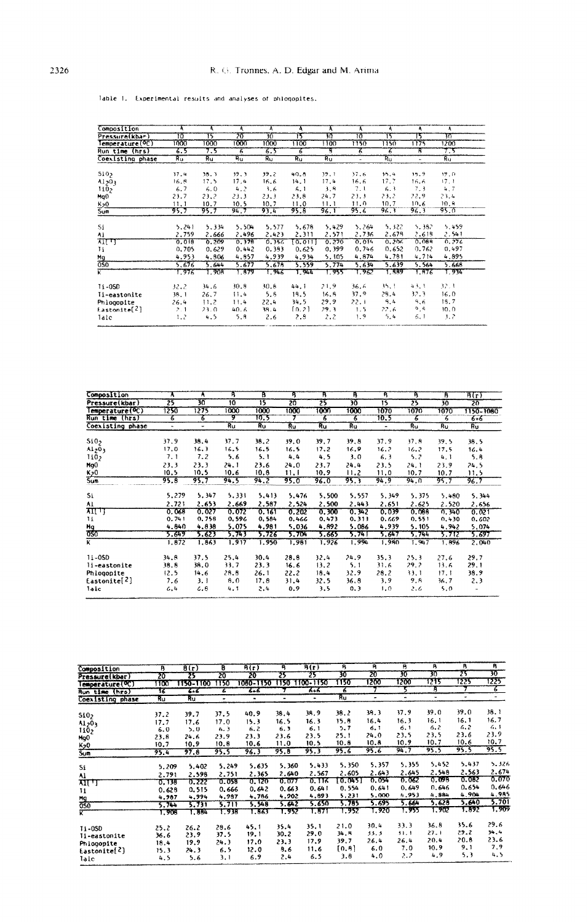| Composition           | Ā     | ৰ     | A     | Ā     | Ą      | A     | Ā      | Ą     | ۹     | Ą     |
|-----------------------|-------|-------|-------|-------|--------|-------|--------|-------|-------|-------|
| Pressure(kbar)        | 10    | 15    | 20    | 70    | 15     | 30    | 70     | 15    | 15    | সম    |
| emperature(OC)        | 1000  | 1000  | 1000  | 1000  | 1100   | 1100  | 1150   | 1150  | 1175  | 1200  |
| Run time (hrs)        | 6.5   | 7.5   | 3     | 6.5   | 6      | т     | 7      | 75    | В.    | 7,5   |
| Coexisting phase      | Ru    | Ru    | Ru    | Ru    | Ru     | Ru    | $\sim$ | Ru    | ٠     | Ru.   |
|                       |       |       |       |       |        |       |        |       |       |       |
| 510 <sub>2</sub>      | 37.4  | 38.3  | 39.3  | 39.2  | 40.8   | 39.1  | 37.6   | 16.4  | 19.9  | 19.0  |
| A1203                 | 16.8  | 17.5  | 17.4  | 16.6  | 14.1   | 17.4  | 16.6   | 17.7  | 16.6  | 17.1  |
| 110 <sub>2</sub>      | 6.7   | 6.0   | 4.2   | 3.6   | 6,1    | 3.8   | 7.1    | 6.3   | 7.3   | 4,7   |
| Mg <sub>0</sub>       | 23.7  | 23.2  | 23.3  | 23.3  | 23.8   | 24.7  | 23.3   | 23.2  | 22.9  | 23.4  |
| K <sub>2</sub> 0      | 11.1  | 10.7  | 10.5  | 10.7  | 11.0   | 11.1  | 11.0   | 10,7  | 10.6  | 10.8  |
| Sum                   | 95.7  | 95.7  | 94.7  | 93.4  | 95.8   | 96.1  | 95.6   | 96. T | 96.3  | 95.0  |
|                       |       |       |       |       |        |       |        |       |       |       |
| Si                    | 5.241 | 5.334 | 5.504 | 5.577 | 5.678  | 5.429 | 5,264  | 5.322 | 5.382 | 5.459 |
| ٨ì                    | 2.759 | 2.666 | 2,496 | 2.423 | 2.311  | 2,571 | 2,736  | 2.678 | 2.618 | 2.541 |
| राएग                  | 0.018 | 0.209 | 0,378 | 0.356 | [0, 0] | 0.270 | 0.014  | 0.206 | 0.088 | 0.276 |
| Ħ                     | 0.705 | 0.629 | 0.442 | 0.383 | 0.625  | 0.399 | 0.746  | 0.652 | 0.762 | 0.497 |
| $\frac{Mg}{050}$      | 4.953 | 4.806 | 4.857 | 4.939 | 4.934  | 5.105 | 4,874  | 4.781 | 4.714 | 4.895 |
|                       | 5,676 | 5.644 | 5.677 | 5.678 | 5.559  | 5,774 | 5,634  | 5.639 | 5.564 | 5.668 |
| K                     | 1.976 | 1.908 | 1.879 | 1.946 | 1.944  | 1.955 | 1,962  | 1.889 | 1.876 | 1,934 |
| $11 - 050$            | 32.2  | 34.6  | 30.8  | 30.8  | 44.1   | 21.9  | 36.6   | 35, 1 | 43, 1 | 32.1  |
| Ii-eastonite          | 38.1  | 26.7  | 11.4  | 5.8   | 18.5   | 16.8  | 37.9   | 29.4  | 32.3  | 16.0  |
| Phlogopite            | 26.4  | 11.2  | 11.4  | 22.4  | 34.5   | 29.9  | 22.1   | 9.4   | 9,6   | 18.7  |
| $\text{Lastonic}$ [2] | 2.1   | 23.0  | 40.6  | 38.4  | [0.2]  | 29.3  | 1.5    | 22.6  | وره   | 30.0  |
| laic                  | 1.2   | 4.5   | 5.8   | 2.6   | 2.8    | 2,2   | 1.9    | 5.4   | 6,1   | 3.2   |

lable 1. Experimental results and analyses of phiogopites.

| Composition              | ٨              | ٨                        | P,              | в     | Ą     | R     | R,    | R,             | R       | в     | B(r)      |
|--------------------------|----------------|--------------------------|-----------------|-------|-------|-------|-------|----------------|---------|-------|-----------|
| Pressure(kbar)           | 25             | 30                       | $\overline{10}$ | 15    | 20    | 25    | 30    | 15             | 25      | 30    | 20        |
| Temperature(OC)          | 1250           | 1275                     | 1000            | 1000  | 1000  | 1000  | 1000  | 1070           | 1070    | 1070  | 1150-1080 |
| Run time (hrs)           | 6              | 6                        | ক               | 10.5  |       |       | 6     | 10.5           | 7       | 6     | 6+6       |
| Coexisting phase         | $\blacksquare$ | $\overline{\phantom{a}}$ | Ru              | Ru    | Ru    | Ru    | Ru    | $\blacksquare$ | $R_{U}$ | Ru    | Ru        |
| Si0 <sub>2</sub>         | 37.9           | 38.4                     | 37.7            | 38.2  | 39.0  | 39.7  | 39.8  | 37.9           | 37.8    | 39.5  | 38.5      |
| A1203                    | 17.0           | 16.3                     | 16.5            | 16.5  | 16.5  | 17.2  | 16.9  | 16.7           | 16.2    | 17.5  | 16.4      |
| 110,                     | 7.1            | 7.2                      | 5.6             | 5.1   | 4.4   | 4,5   | 3.0   | 6.3            | 5.2     | 4.1   | 5.8       |
| MgO                      | 23.3           | 23.3                     | 24.1            | 23.6  | 24.0  | 23.7  | 24.4  | 23.5           | 24.1    | 23.9  | 24.5      |
| <u>K20</u>               | 10.5           | 10.5                     | 10.6            | 10.8  | 11. I | 10.9  | 11.2  | 11.0           | 10.7    | 10.7  | 11.5      |
| Sum                      | 95.8           | 95.7                     | 94.5            | 94.2  | 95.0  | 96.0  | 95.3  | 94.9           | 94.0    | 95.7  | 96.7      |
| Si.                      | 5,279          | 5.347                    | 5.331           | 5,413 | 5.476 | 5,500 | 5,557 | 5.349          | 5.375   | 5.480 | 5.344     |
| Al                       | 2.721          | 2.653                    | 2.669           | 2.587 | 2.524 | 2,500 | 2.443 | 2,651          | 2.625   | 2.520 | 2.656     |
| $\pi\pi\pi$              | 0.068          | 0.027                    | 0.072           | 0.161 | 0.202 | 0.300 | 0.342 | 0.039          | 0.088   | 0.340 | 0.021     |
| 11                       | 0.741          | 0,758                    | 0.596           | 0.584 | 0.466 | 0.473 | 0.311 | 0.669          | 0.551   | 0,430 | 0,602     |
| $\frac{H_0}{0.050}$      | 4.840          | 4,838                    | 5.075           | 4.981 | 5.036 | 4.892 | 5.086 | 4.939          | 5.105   | 4.942 | 5.074     |
|                          | 5.649          | 5.623                    | 5.743           | 5.726 | 5.704 | 5.665 | 5.74T | 5.647          | 5.744   | 5.712 | 5.697     |
| K                        | 1.872          | 1.863                    | 1.917           | 1.950 | 1.981 | 1.926 | 1.994 | 1.980          | 1.947   | 1.896 | 2,040     |
| $11 - 050$               | 34.8           | 37.5                     | 25.4            | 30.4  | 28.8  | 32.4  | 24.9  | 35.3           | 25.3    | 27.6  | 29.7      |
| li-eastonite             | 38.8           | 38.0                     | 33.7            | 23.3  | 16.6  | 13.2  | 5. 1  | 31.6           | 29.2    | 13.6  | 29.1      |
| Phiogopite               | 12.5           | 14.6                     | 28.8            | 26.1  | 22.2  | 18.4  | 32.9  | 28.2           | 33.1    | 17.1  | 38.9      |
| Eastonite <sup>[2]</sup> | 7.6            | 3. I                     | 8.0             | 17.8  | 31,4  | 32.5  | 36.8  | 3.9            | 9. R    | 36.7  | 2.3       |
| Talc                     | 6.4            | 6.8                      | 4.1             | 2.4   | 0.9   | 3.5   | 0.3   | 1,0            | 2.6     | 5.0   |           |
|                          |                |                          |                 |       |       |       |       |                |         |       |           |

| Composition                    | B     | B(r)      | B     | B(r)      | Ą      | B(r)      | 可     | Ĥ.             | в     | R              | B.    | $\overline{R}$ |
|--------------------------------|-------|-----------|-------|-----------|--------|-----------|-------|----------------|-------|----------------|-------|----------------|
| Pressure(kbar)                 | 20    | 25        | 20    | 20        | 25     | 75        | 30    | 20             | 30    | W              | 25    | w              |
| Temperature(OC)                | πত    | 1150-1100 | 1150  | 1080-1150 | T150 I | 1100-1150 | 1150  | 1200           | 1200  | 1215           | 1225  | 1225           |
| Run time (hrs)                 | 16    | द्रम्ह    | 6     | $5 - 5$   |        | $5 + 6$   | 6     |                |       | B              |       | ᡒ              |
| Coexisting phase               | Ru    | Ru        | ۰     | ۰         | ٠      | ٠         | Ru    | $\blacksquare$ | ۰     | $\blacksquare$ | ۰     | $\sim$         |
| 510 <sub>2</sub>               | 37.2  | 39.7      | 37.5  | 40.9      | 38.4   | 38.9      | 38.2  | 38.3           | 37.9  | 39.0           | 39.0  | 38.1           |
| A1 <sub>2</sub> 0 <sub>3</sub> | 17.7  | 17.6      | 17.0  | 15.3      | 16.5   | 16.3      | 15.8  | 16.4           | 16.3  | 16.1           | 16.1  | 16.7           |
| 110 <sub>2</sub>               | 6.0   | 5.0       | 6. 3  | 6.2       | 6.3    | 6.1       | 5,7   | 6.1            | 6,1   | 6.2            | 6,2   | 6,1            |
| Mg <sub>O</sub>                | 23.8  | 24.6      | 23.9  | 23.3      | 23.6   | 23.5      | 25.1  | 24.0           | 23.5  | 23.5           | 23.6  | 23.9           |
| <u>K20</u>                     | 10.7  | 10.9      | 10,8  | 10.6      | 11.0   | 10.5      | 10.8  | 10.8           | 10.9  | 10.7           | 10.6  | 10.7           |
| Sum                            | 95.4  | 97.8      | 95.5  | 96.3      | 95.8   | 95.3      | 95.6  | 95.6           | 94.7  | 95.5           | 95.5  | 95.5           |
| Si                             | 5,209 | 5.402     | 5,249 | 5.635     | 5.360  | 5.433     | 5.350 | 5.357          | 5.355 | 5.452          | 5.437 | 5.326          |
| Al                             | 2.791 | 2.598     | 2.751 | 2.365     | 2.640  | 2.567     | 2,605 | 2.643          | 2.645 | 2.548          | 2.563 | 2.674          |
| साम                            | 0.138 | 0.222     | 0.058 | 0.120     | 0.077  | 0.116     | 0.045 | 0.054          | 0.062 | 0.098          | 0.082 | 0.070          |
| 11                             | 0.628 | 0.515     | 0.666 | 0.642     | 0.663  | 0.641     | 0.554 | 0.641          | 0.649 | 0.646          | 0.654 | 0.646          |
| Mg                             | 4.987 | 4.994     | 4.987 | 4.786     | 4.902  | 4.893     | 5,231 | 5.000          | 4.953 | 4.884          | 4.904 | 4.985          |
| $\overline{050}$               | 5.744 | 5.731     | 5.711 | 5.548     | 5.642  | 5.650     | 5.785 | 5.695          | 5.664 | 5.628          | 5.640 | 5.701          |
| ĸ.                             | 1.908 | 1.884     | 1.936 | 1.863     | 1.952  | 1.871     | 1.952 | 1.920          | 1.955 | 1.902          | 1.892 | 1,909          |
| <b>11-0SD</b>                  | 25.2  | 26.2      | 28.6  | 45.1      | 35.4   | 35.1      | 21.0  | 30.4           | 33.3  | 36.8           | 35.6  | 29.6           |
| li-eastonite                   | 36.6  | 23.9      | 37.5  | 19.1      | 30.2   | 29.0      | 34.B  | 33.3           | 31.1  | 27.1           | 29.2  | 34.4           |
| Phiogopite                     | 18.4  | 19.9      | 24.3  | 17.0      | 23.3   | 17.9      | 39.7  | 26.4           | 26.4  | 20.4           | 20.8  | 23.6           |
| Eastonite $\{2\}$              | 15.3  | 24.3      | 6.5   | 12.0      | 8.6    | 11.6      | [0.8] | 6.0            | 7.0   | 10.9           | 9, 1  | 7,9            |
| Talc                           | 4.5   | 5.6       | 3.1   | 6.9       | 2.4    | 6.5       | 3.8   | 4.0            | 2.2   | 4.9            | 5.3   | 4.5            |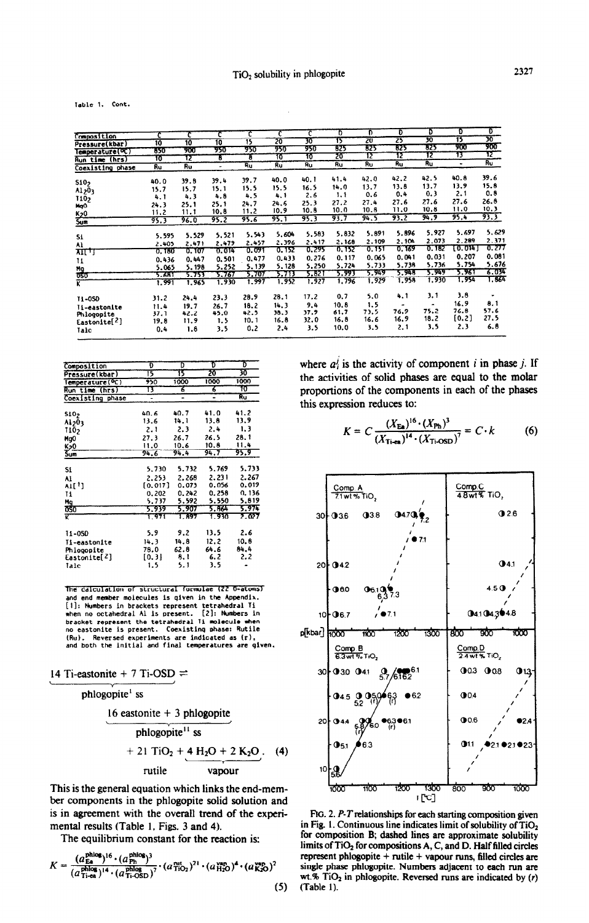$\bar{z}$ 

Table 1. Cont.

|                            |                |                |       |        |           | c         | D     | Ð     | T     | Ð     | D       | ᢐ     |
|----------------------------|----------------|----------------|-------|--------|-----------|-----------|-------|-------|-------|-------|---------|-------|
| Composition                |                |                |       | c      |           |           | 15    | 20    | 25    | 30    | 15      | 30    |
| Pressure(kbar)             | 10             | 10             | 10    | 15     | 20        | 30<br>950 | 825   | 825   | 625   | 325   | 900     | 900   |
| Temperature(OC)            | 850            | 900            | 950   | 950    | 950<br>10 | 70        | 20    | 12    | 12    | 12    | 13      | π     |
| <b>Run time (hrs)</b>      | 10             | 12             | τ     | т      |           |           |       |       |       | Ru    | ٠       | Ru    |
| Coexisting phase           | Ru             | Ru             | ۰     | Ru     | Ru.       | Ru        | Ru    | Ru    | Ru    |       |         |       |
| 510 <sub>2</sub>           | 40.0           | 39.8           | 39.4  | 39.7   | 40.0      | 40.1      | 41.4  | 42.0  | 42.2  | 42.5  | 40.8    | 39.6  |
| A1203                      | 15.7           | 15.7           | 15.1  | 15.5   | 15.5      | 16.5      | 14.0  | 13.7  | 13.8  | 13.7  | 13.9    | 15.8  |
|                            | 4.1            | 4.3            | 4.8   | 4.5    | 4.1       | 2.6       | 1.1   | 0.6   | 0,4   | 0.3   | 2.1     | 0.8   |
| 1102                       | 24.3           | 25.1           | 25.1  | 24.7   | 24.6      | 25.3      | 27.2  | 27.4  | 27.6  | 27.6  | 27.6    | 26.8  |
| MgO                        | 11.2           | 11.1           | 10.8  | 11.2   | 10.9      | 10.8      | 10.0  | 10.8  | 11.0  | 10.8  | 11.0    | 10.3  |
| K <sub>20</sub><br>Sum     | 95.3           | 96.0           | 95.2  | 95.6   | 95.1      | 95.3      | 93.7  | 94.5  | 93.2  | 94.9  | 95,4    | 93.3  |
|                            | 5.595          | 5.529          | 5.521 | 5.543  | 5.604     | 5.583     | 5.832 | 5.891 | 5.896 | 5.927 | 5.697   | 5,629 |
| 51                         | 2.405          | 2.471          | 2.479 | 2.457  | 2.396     | 2.417     | 2,168 | 2,109 | 2.104 | 2.073 | 2.289   | 2.371 |
| Al                         | 0.180          | 0.107          | 0.014 | 0.091  | 0.152     | 0.295     | 0.152 | 0.151 | 0.169 | 0.182 | (0.014) | 0.277 |
| साम                        |                | 0.447          | 0.501 | 0.477  | 0.433     | 0.276     | 0.117 | 0.065 | 0.041 | 0.031 | 0.207   | 0.081 |
| 11                         | 0.436          |                | 5.252 | 5, 139 | 5.128     | 5.250     | 5.724 | 5,733 | 5,738 | 5.736 | 5.754   | 5.676 |
| $\frac{Mg}{OS}$            | 5.065          | 5, 198         | 5.767 | 5.707  | 5.713     | 5.821     | 5.993 | 5.949 | 5.948 | 5.949 | 5.961   | 3.03  |
| ۲Ê                         | 5.681<br>1.991 | 5.753<br>1,965 | 1.930 | 1.997  | 1.952     | 1.927     | 1,796 | 1.929 | 1.958 | 1.930 | 1.954   | 1.86  |
| <b>11-0SD</b>              | 31.2           | 24.4           | 23.3  | 28.9   | 28.1      | 17.2      | 0.7   | 5.0   | 4.1   | 3.1   | 3.8     |       |
| <i><b>Ii-eastonite</b></i> | 11.4           | 19.7           | 26.7  | 18.2   | 14.3      | 9.4       | 10.8  | 1.5   | ۰     | ۰.    | 16.9    | 8.1   |
| Phiogopite                 | 37.1           | 42.2           | 45.0  | 42.5   | 38.3      | 37.9      | 61.7  | 73.5  | 76.9  | 75.2  | 76.8    | 57.6  |
| Eastonite <sup>[2]</sup>   | 19.8           | 11.9           | 1.5   | 10.1   | 16.8      | 32.0      | 16.8  | 16.6  | 16.9  | 18.2  | [0.2]   | 27.5  |
| Tale                       | 0.4            | 1.8            | 3.5   | 0,2    | 2.4       | 3.5       | 10.0  | 3.5   | 2.1   | 3.5   | 2.3     | 6.8   |

| Composition                  | D       | D     | D     | D     |
|------------------------------|---------|-------|-------|-------|
| Pressure(kbar)               | 15      | 15    | 20    | 30    |
| Temperature( <sup>O</sup> C) | 950     | 1000  | 1000  | 1000  |
| Run time (hrs)               | 13      | 7     | 6     | 10    |
| Coexisting phase             | -       |       |       | रित   |
|                              |         |       |       |       |
| 510 <sub>2</sub>             | 40.6    | 40.7  | 41.0  | 41.2  |
| A1203                        | 13.6    | 14.1  | 13.8  | 13.9  |
| 1102                         | 2.1     | 2.3   | 2.4   | 1, 3  |
| Mg0                          | 27.3    | 26.7  | 26.5  | 28.1  |
| K20                          | 11.0    | 10.6  | 10.8  | 11.4  |
| Sum                          | 94.6    | 94.4  | 94.7  | 95.9  |
| Si                           | 5,730   | 5.732 | 5.769 | 5,733 |
|                              | 2.253   | 2.268 | 2.231 | 2.267 |
| Al<br>A1[1]                  | [0.017] | 0.073 | 0.056 | 0.019 |
|                              | 0.202   | 0.242 | 0.258 | 0.136 |
| 11                           | 5.737   | 5.592 | 5.550 | 5.819 |
| Mg<br>ซรง                    | 5,939   | 5.907 | 5.864 | 5.974 |
| π                            | 1.971   | 1.897 | 1.930 | 2.027 |
| 11-050                       | 5.9     | 9.2   | 13.5  | 2.6   |
| Ti-eastonite                 | 14.3    | 14.8  | 12.2  | 10.8  |
| Phlogopite                   | 78.0    | 62.8  | 64.6  | 84.4  |
| Eastonite[ <sup>2</sup> ]    | [0.3]   | 8, 1  | 6.2   | 2.2   |
| Tale                         | 1.5     | 5. 1  | 3.5   |       |

The calculation of structural formulae (22 0-atoms) and end member molecules is given in the Appendix.<br>[1]: Numbers in brackets represent tetrahedral Ti when no octahedral Al is present. [2]: Numbers in  $[2]$ : Numbers and notabedral Al is present.  $[2]$ : Numbers in<br>bracket represent the tetrahedral Ii molecule when<br>no eastonite is present. Coexisting phase: Rutile (Ru). Reversed experiments are indicated as (r),<br>and both the initial and final temperatures are given.

## 14 Ti-eastonite + 7 Ti-OSD  $\rightleftharpoons$

phlogopite<sup>1</sup> ss

16 eastonite + 3 phlogopite  
phlogopite<sup>11</sup> ss  
+ 21 TiO<sub>2</sub> + 
$$
\underline{4}
$$
 H<sub>2</sub>O + 2 K<sub>2</sub>O.  
14)  
rutile  
vapour

This is the general equation which links the end-member components in the phlogopite solid solution and is in agreement with the overall trend of the experimental results (Table 1, Figs. 3 and 4).

The equilibrium constant for the reaction is:

$$
K = \frac{(a_{\text{Ea}}^{\text{phlog}})^{16} \cdot (a_{\text{Ph}}^{\text{phlog}})^3}{(a_{\text{Tiea}}^{\text{phlog}})^{14} \cdot (a_{\text{Ti-OSD}}^{\text{phlog}})^7} \cdot (a_{\text{TiO2}}^{\text{cut}})^2 \cdot (a_{\text{H2O}}^{\text{vap}})^4 \cdot (a_{\text{K2O}}^{\text{vap}})^2
$$

where  $a_i^j$  is the activity of component i in phase j. If the activities of solid phases are equal to the molar proportions of the components in each of the phases this expression reduces to:

$$
K = C \frac{(X_{\text{E}_A})^{16} \cdot (X_{\text{Ph}})^3}{(X_{\text{Ti-ca}})^{14} \cdot (X_{\text{Ti-OSD}})^7} = C \cdot k \tag{6}
$$



FIG. 2. P-T relationships for each starting composition given in Fig. 1. Continuous line indicates limit of solubility of TiO<sub>2</sub> for composition B; dashed lines are approximate solubility limits of TiO<sub>2</sub> for compositions A, C, and D. Half filled circles represent phlogopite + rutile + vapour runs, filled circles are single phase phlogopite. Numbers adjacent to each run are wt.%  $TiO<sub>2</sub>$  in phlogopite. Reversed runs are indicated by (r)  $(5)$  (Table 1).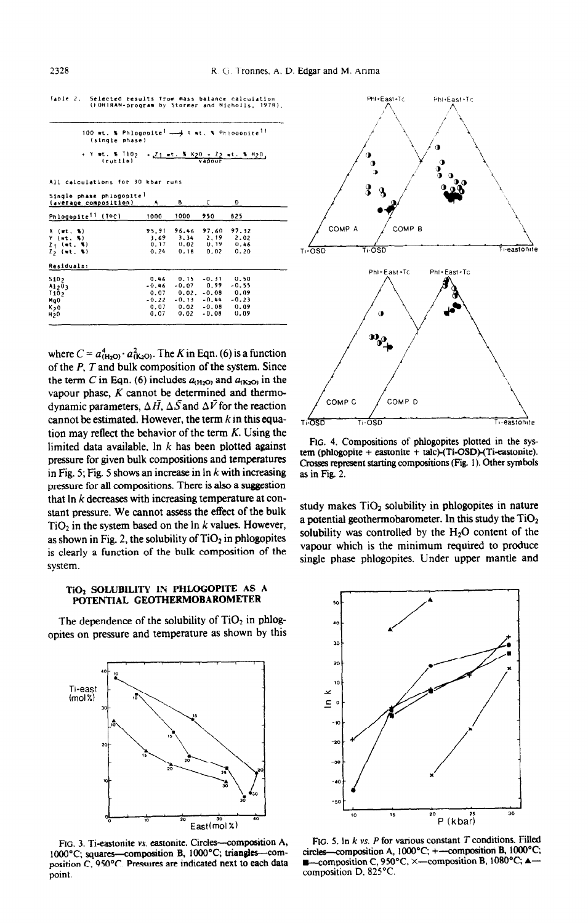Selected results from mass balance calculation<br>(FORTRAN-program by Stormer and Nicholls, 1978), Table 2.

| (single phase) | 100 wt. % Phlogopite <sup>1</sup> - x wt. % Phiogopite <sup>11</sup>                    |
|----------------|-----------------------------------------------------------------------------------------|
| (rutile)       | + Y #t. % T10 <sub>2</sub> + <u>Z1 #t. % K20 + Z2</u> #t. % H <sub>2</sub> 0,<br>vadour |

All calculations for 30 kbar runs

Single phase phiogopit

|                                                                       | $\cdots$                                           |                                          |                                                                     |                                                    |  |
|-----------------------------------------------------------------------|----------------------------------------------------|------------------------------------------|---------------------------------------------------------------------|----------------------------------------------------|--|
| Phlogopite <sup>11</sup> (TOC)                                        | 1000                                               | 1000                                     | 950                                                                 | 825                                                |  |
| X (wt. %)<br>$Y$ (wt. $Y$ )<br>$2 + (nt - x)$                         | 95.91<br>3.69<br>0.17                              | 96.46<br>3.34<br>0.02                    | 97.60<br>2.19<br>0.19                                               | 97.32<br>2.02<br>0.46                              |  |
| $2, ($ (wt. %)<br>Residuals:                                          | 0.24                                               | 0.18                                     | 0.02                                                                | 0.20                                               |  |
| 5102<br>A1203<br>110,7<br>MgO<br>K <sub>2</sub> 0<br>H <sub>2</sub> 0 | 0.46<br>$-0.46$<br>0.07<br>$-0.22$<br>0.07<br>0.07 | 0.15<br>0.02.<br>$-0.13$<br>0.02<br>0.02 | $-0.31$<br>$-0.07$ 0.99<br>$-0.08$<br>$-0.44$<br>$-0.08$<br>$-0.08$ | 0.50<br>$-0.55$<br>0.09<br>$-0.23$<br>0.09<br>0.09 |  |
|                                                                       |                                                    |                                          |                                                                     |                                                    |  |

where  $C = a_{(H_2O)}^4 \cdot a_{(K_2O)}^2$ . The K in Eqn. (6) is a function of the  $P$ ,  $T$  and bulk composition of the system. Since the term C in Eqn. (6) includes  $a_{(H<sub>2</sub>O)}$  and  $a_{(K<sub>2</sub>O)}$  in the vapour phase,  $K$  cannot be determined and thermodynamic parameters,  $\Delta \vec{H}$ ,  $\Delta \vec{S}$  and  $\Delta \vec{V}$  for the reaction cannot be estimated. However, the term  $k$  in this equation may reflect the behavior of the term  $K$ . Using the limited data available. In  $k$  has been plotted against pressure for given bulk compositions and temperatures in Fig. 5; Fig. 5 shows an increase in  $\ln k$  with increasing pressure for all compositions. There is also a suggestion that  $\ln k$  decreases with increasing temperature at constant pressure. We cannot assess the effect of the bulk  $TiO<sub>2</sub>$  in the system based on the ln k values. However, as shown in Fig. 2, the solubility of  $TiO<sub>2</sub>$  in phlogopites is clearly a function of the bulk composition of the system.

## TiO2 SOLUBILITY IN PHLOGOPITE AS A POTENTIAL GEOTHERMOBAROMETER

The dependence of the solubility of  $TiO<sub>2</sub>$  in phlogopites on pressure and temperature as shown by this



FIG. 3. Ti-eastonite vs. eastonite. Circles-composition A, 100°C; squares—composition B, 1000°C; triangles—com-<br>position C, 950°C. Pressures are indicated next to each data point.



FIG. 4. Compositions of phlogopites plotted in the system (phlogopite + eastonite + talc)-(Ti-OSD)-(Ti-eastonite). Crosses represent starting compositions (Fig. 1). Other symbols as in Fig. 2.

study makes TiO<sub>2</sub> solubility in phlogopites in nature a potential geothermobarometer. In this study the  $TiO<sub>2</sub>$ solubility was controlled by the  $H_2O$  content of the vapour which is the minimum required to produce single phase phlogopites. Under upper mantle and



FIG. 5. In  $k$  vs.  $P$  for various constant  $T$  conditions. Filled circles-composition A, 1000°C; +-composition B, 1000°C; -composition C, 950°C,  $\times$  -composition B, 1080°C;  $\blacktriangle$ р. composition D. 825°C.